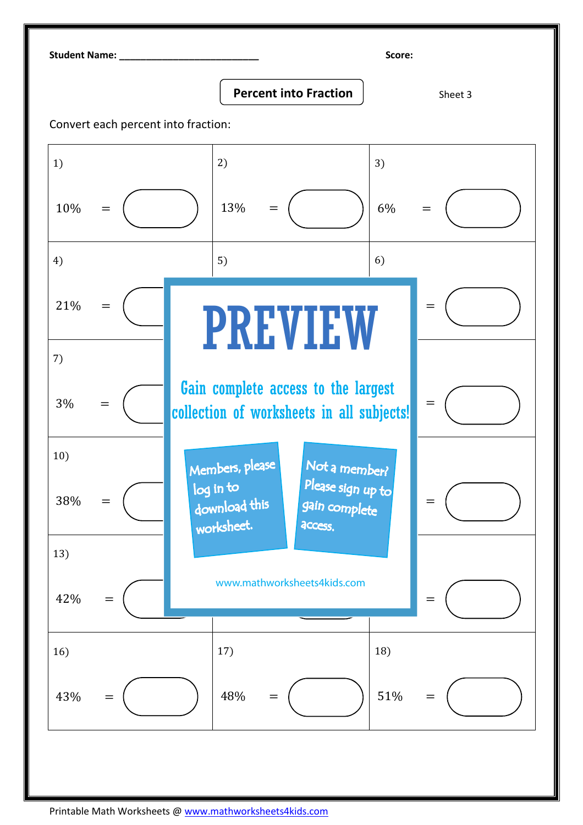